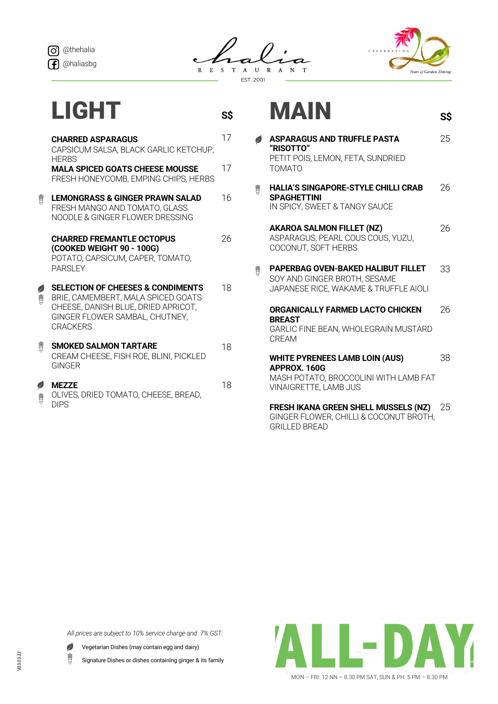



**S\$**



**S\$**

## LIGHT

|                | <b>CHARRED ASPARAGUS</b><br>CAPSICUM SALSA, BLACK GARLIC KETCHUP,<br><b>HFRBS</b>                                                                                              | 17 |
|----------------|--------------------------------------------------------------------------------------------------------------------------------------------------------------------------------|----|
|                | <b>MALA SPICED GOATS CHEESE MOUSSE</b><br>FRESH HONEYCOMB, EMPING CHIPS, HERBS                                                                                                 | 17 |
| 费              | <b>LEMONGRASS &amp; GINGER PRAWN SALAD</b><br>FRESH MANGO AND TOMATO, GLASS<br>NOODLE & GINGER FLOWER DRESSING                                                                 | 16 |
|                | <b>CHARRED FREMANTLE OCTOPUS</b><br>(COOKED WEIGHT 90 - 100G)<br>POTATO, CAPSICUM, CAPER, TOMATO,<br><b>PARSIFY</b>                                                            | 26 |
| P<br>费         | <b>SELECTION OF CHEESES &amp; CONDIMENTS</b><br>BRIE, CAMEMBERT, MALA SPICED GOATS<br>CHEESE, DANISH BLUE, DRIED APRICOT,<br>GINGER FLOWER SAMBAL, CHUTNEY,<br><b>CRACKERS</b> | 18 |
| 费              | <b>SMOKED SALMON TARTARE</b><br>CREAM CHEESE, FISH ROE, BLINI, PICKLED<br>GINGFR                                                                                               | 18 |
| $\varphi$<br>费 | <b>MEZZE</b><br>OLIVES, DRIED TOMATO, CHEESE, BREAD,<br><b>DIPS</b>                                                                                                            | 18 |

## MAIN

## **ASPARAGUS AND TRUFFLE PASTA**  25 Ø **"RISOTTO"** PETIT POIS, LEMON, FETA, SUNDRIED TOMATO **HALIA'S SINGAPORE-STYLE CHILLI CRAB**  26 鹅 **SPAGHETTINI** IN SPICY, SWEET & TANGY SAUCE

**AKAROA SALMON FILLET (NZ)** ASPARAGUS, PEARL COUS COUS, YUZU, COCONUT, SOFT HERBS 26

**PAPERBAG OVEN-BAKED HALIBUT FILLET**  33 费 SOY AND GINGER BROTH, SESAME JAPANESE RICE, WAKAME & TRUFFLE AIOLI

**ORGANICALLY FARMED LACTO CHICKEN BREAST**  GARLIC FINE BEAN, WHOLEGRAIN MUSTARD CREAM 26

**WHITE PYRENEES LAMB LOIN (AUS) APPROX. 160G**  MASH POTATO, BROCCOLINI WITH LAMB FAT VINAIGRETTE, LAMB JUS 38

**FRESH IKANA GREEN SHELL MUSSELS (NZ)** GINGER FLOWER, CHILLI & COCONUT BROTH, GRILLED BREAD 25

*All prices are subject to 10% service charge and 7% GST.*



费 Signature Dishes or dishes containing ginger & its family

MON – FRI: 12 NN – 8.30 PM SAT, SUN & PH: 5 PM – 8.30 PM